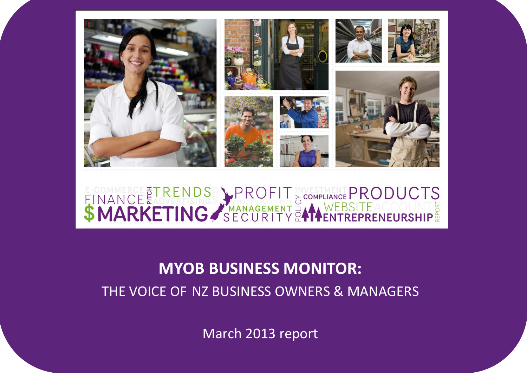<span id="page-0-0"></span>

# FINANCE TRENDS PROFIT SCOMPLIANCE PRODUCTS

# **MYOB BUSINESS MONITOR:**

THE VOICE OF NZ BUSINESS OWNERS & MANAGERS

March 2013 report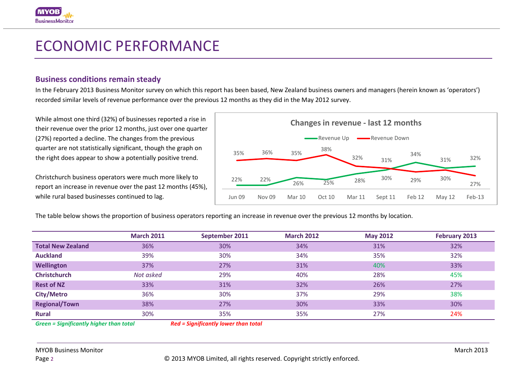# ECONOMIC PERFORMANCE

## **Business conditions remain steady**

In the February 2013 Business Monitor survey on which this report has been based, New Zealand business owners and managers (herein known as 'operators') recorded similar levels of revenue performance over the previous 12 months as they did in the May 2012 survey.

While almost one third (32%) of businesses reported a rise in their revenue over the prior 12 months, just over one quarter (27%) reported a decline. The changes from the previous quarter are not statistically significant, though the graph on the right does appear to show a potentially positive trend.

Christchurch business operators were much more likely to report an increase in revenue over the past 12 months (45%), while rural based businesses continued to lag.



The table below shows the proportion of business operators reporting an increase in revenue over the previous 12 months by location.

|                          | <b>March 2011</b> | September 2011 | <b>March 2012</b> | <b>May 2012</b> | February 2013 |
|--------------------------|-------------------|----------------|-------------------|-----------------|---------------|
| <b>Total New Zealand</b> | 36%               | 30%            | 34%               | 31%             | 32%           |
| <b>Auckland</b>          | 39%               | 30%            | 34%               | 35%             | 32%           |
| Wellington               | 37%               | 27%            | 31%               | 40%             | 33%           |
| <b>Christchurch</b>      | Not asked         | 29%            | 40%               | 28%             | 45%           |
| <b>Rest of NZ</b>        | 33%               | 31%            | 32%               | 26%             | 27%           |
| <b>City/Metro</b>        | 36%               | 30%            | 37%               | 29%             | 38%           |
| <b>Regional/Town</b>     | 38%               | 27%            | 30%               | 33%             | 30%           |
| <b>Rural</b>             | 30%               | 35%            | 35%               | 27%             | 24%           |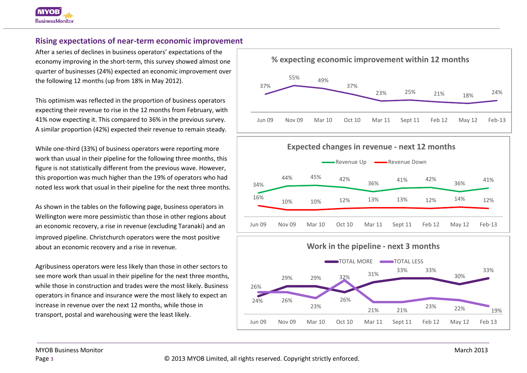# **Rising expectations of near-term economic improvement**

After a series of declines in business operators' expectations of the economy improving in the short-term, this survey showed almost one quarter of businesses (24%) expected an economic improvement over the following 12 months (up from 18% in May 2012).

This optimism was reflected in the proportion of business operators expecting their revenue to rise in the 12 months from February, with 41% now expecting it. This compared to 36% in the previous survey. A similar proportion (42%) expected their revenue to remain steady.

While one-third (33%) of business operators were reporting more work than usual in their pipeline for the following three months, this figure is not statistically different from the previous wave. However, this proportion was much higher than the 19% of operators who had noted less work that usual in their pipeline for the next three months.

As shown in the tables on the following page, business operators in Wellington were more pessimistic than those in other regions about an economic recovery, a rise in revenue (excluding Taranaki) and an improved pipeline. Christchurch operators were the most positive about an economic recovery and a rise in revenue.

Agribusiness operators were less likely than those in other sectors to see more work than usual in their pipeline for the next three months, while those in construction and trades were the most likely. Business operators in finance and insurance were the most likely to expect an increase in revenue over the next 12 months, while those in transport, postal and warehousing were the least likely.



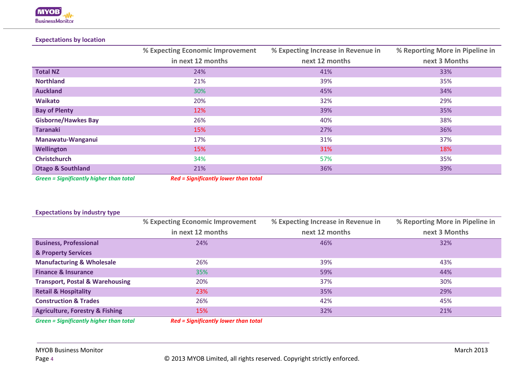#### **Expectations by location**

|                                         | % Expecting Economic Improvement     | % Expecting Increase in Revenue in | % Reporting More in Pipeline in |
|-----------------------------------------|--------------------------------------|------------------------------------|---------------------------------|
|                                         | in next 12 months                    | next 12 months                     | next 3 Months                   |
| <b>Total NZ</b>                         | 24%                                  | 41%                                | 33%                             |
| <b>Northland</b>                        | 21%                                  | 39%                                | 35%                             |
| <b>Auckland</b>                         | 30%                                  | 45%                                | 34%                             |
| <b>Waikato</b>                          | 20%                                  | 32%                                | 29%                             |
| <b>Bay of Plenty</b>                    | 12%                                  | 39%                                | 35%                             |
| <b>Gisborne/Hawkes Bay</b>              | 26%                                  | 40%                                | 38%                             |
| <b>Taranaki</b>                         | 15%                                  | 27%                                | 36%                             |
| Manawatu-Wanganui                       | 17%                                  | 31%                                | 37%                             |
| <b>Wellington</b>                       | 15%                                  | 31%                                | 18%                             |
| <b>Christchurch</b>                     | 34%                                  | 57%                                | 35%                             |
| <b>Otago &amp; Southland</b>            | 21%                                  | 36%                                | 39%                             |
| Croon - Cianificantly biobor than total | Dad - Cianificantly lower than total |                                    |                                 |

*Green = Significantly higher than total Red = Significantly lower than total*

#### **Expectations by industry type**

| % Expecting Economic Improvement | % Expecting Increase in Revenue in | % Reporting More in Pipeline in |
|----------------------------------|------------------------------------|---------------------------------|
| in next 12 months                | next 12 months                     | next 3 Months                   |
| 24%                              | 46%                                | 32%                             |
|                                  |                                    |                                 |
| 26%                              | 39%                                | 43%                             |
| 35%                              | 59%                                | 44%                             |
| 20%                              | 37%                                | 30%                             |
| 23%                              | 35%                                | 29%                             |
| 26%                              | 42%                                | 45%                             |
| 15%                              | 32%                                | 21%                             |
|                                  |                                    |                                 |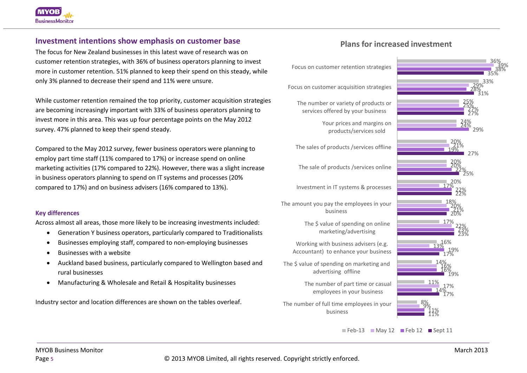## **Investment intentions show emphasis on customer base**

The focus for New Zealand businesses in this latest wave of research was on customer retention strategies, with 36% of business operators planning to invest more in customer retention. 51% planned to keep their spend on this steady, while only 3% planned to decrease their spend and 11% were unsure.

While customer retention remained the top priority, customer acquisition strategies are becoming increasingly important with 33% of business operators planning to invest more in this area. This was up four percentage points on the May 2012 survey. 47% planned to keep their spend steady.

Compared to the May 2012 survey, fewer business operators were planning to employ part time staff (11% compared to 17%) or increase spend on online marketing activities (17% compared to 22%). However, there was a slight increase in business operators planning to spend on IT systems and processes (20% compared to 17%) and on business advisers (16% compared to 13%).

#### **Key differences**

Across almost all areas, those more likely to be increasing investments included:

- Generation Y business operators, particularly compared to Traditionalists
- Businesses employing staff, compared to non-employing businesses
- Businesses with a website
- Auckland based business, particularly compared to Wellington based and rural businesses
- Manufacturing & Wholesale and Retail & Hospitality businesses

Industry sector and location differences are shown on the tables overleaf.

# **Plans for increased investment**

Focus on customer retention strategies

Focus on customer acquisition strategies

The number or variety of products or services offered by your business

> Your prices and margins on products/services sold

The sales of products /services offline

The sale of products /services online

Investment in IT systems & processes

The amount you pay the employees in your business

> The \$ value of spending on online marketing/advertising

Working with business advisers (e.g. Accountant) to enhance your business

The \$ value of spending on marketing and advertising offline

> The number of part time or casual employees in your business

The number of full time employees in your business



 $\blacksquare$  Feb-13  $\blacksquare$  May 12  $\blacksquare$  Feb 12  $\blacksquare$  Sept 11

Page 5 © 2013 MYOB Limited, all rights reserved. Copyright strictly enforced.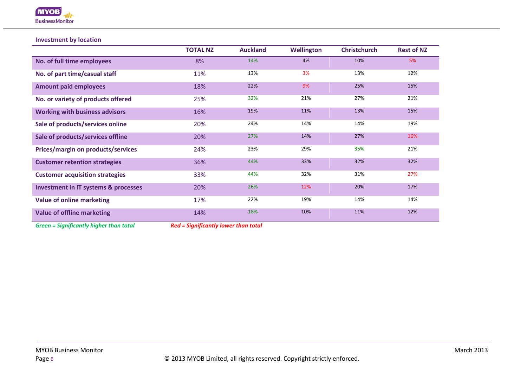

#### **Investment by location**

|                                                 | <b>TOTAL NZ</b> | <b>Auckland</b> | <b>Wellington</b> | <b>Christchurch</b> | <b>Rest of NZ</b> |
|-------------------------------------------------|-----------------|-----------------|-------------------|---------------------|-------------------|
| No. of full time employees                      | 8%              | 14%             | 4%                | 10%                 | 5%                |
| No. of part time/casual staff                   | 11%             | 13%             | 3%                | 13%                 | 12%               |
| <b>Amount paid employees</b>                    | 18%             | 22%             | 9%                | 25%                 | 15%               |
| No. or variety of products offered              | 25%             | 32%             | 21%               | 27%                 | 21%               |
| <b>Working with business advisors</b>           | 16%             | 19%             | 11%               | 13%                 | 15%               |
| Sale of products/services online                | 20%             | 24%             | 14%               | 14%                 | 19%               |
| Sale of products/services offline               | 20%             | 27%             | 14%               | 27%                 | 16%               |
| Prices/margin on products/services              | 24%             | 23%             | 29%               | 35%                 | 21%               |
| <b>Customer retention strategies</b>            | 36%             | 44%             | 33%               | 32%                 | 32%               |
| <b>Customer acquisition strategies</b>          | 33%             | 44%             | 32%               | 31%                 | 27%               |
| <b>Investment in IT systems &amp; processes</b> | 20%             | 26%             | 12%               | 20%                 | 17%               |
| <b>Value of online marketing</b>                | 17%             | 22%             | 19%               | 14%                 | 14%               |
| <b>Value of offline marketing</b>               | 14%             | 18%             | 10%               | 11%                 | 12%               |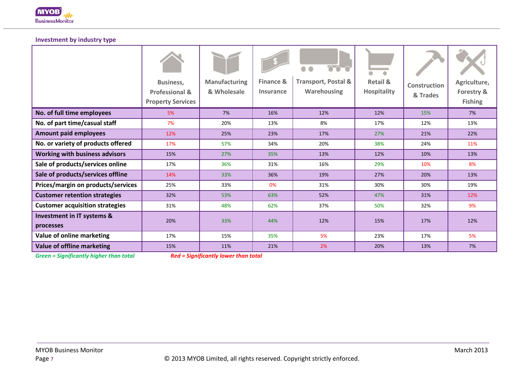

#### **Investment by industry type**

|                                                    | <b>Business,</b><br><b>Professional &amp;</b><br><b>Property Services</b> | <b>Manufacturing</b><br>& Wholesale | <b>Finance &amp;</b><br>Insurance | o<br>$\circ$<br><b>Transport, Postal &amp;</b><br><b>Warehousing</b> | <b>Retail &amp;</b><br><b>Hospitality</b> | <b>Construction</b><br>& Trades | Agriculture,<br>Forestry &<br><b>Fishing</b> |
|----------------------------------------------------|---------------------------------------------------------------------------|-------------------------------------|-----------------------------------|----------------------------------------------------------------------|-------------------------------------------|---------------------------------|----------------------------------------------|
| No. of full time employees                         | 5%                                                                        | 7%                                  | 16%                               | 12%                                                                  | 12%                                       | 15%                             | 7%                                           |
| No. of part time/casual staff                      | 7%                                                                        | 20%                                 | 13%                               | 8%                                                                   | 17%                                       | 12%                             | 13%                                          |
| <b>Amount paid employees</b>                       | 12%                                                                       | 25%                                 | 23%                               | 17%                                                                  | 27%                                       | 21%                             | 22%                                          |
| No. or variety of products offered                 | 17%                                                                       | 57%                                 | 34%                               | 20%                                                                  | 38%                                       | 24%                             | 11%                                          |
| <b>Working with business advisors</b>              | 15%                                                                       | 27%                                 | 35%                               | 13%                                                                  | 12%                                       | 10%                             | 13%                                          |
| Sale of products/services online                   | 17%                                                                       | 36%                                 | 31%                               | 16%                                                                  | 29%                                       | 10%                             | 8%                                           |
| Sale of products/services offline                  | 14%                                                                       | 33%                                 | 36%                               | 19%                                                                  | 27%                                       | 20%                             | 13%                                          |
| Prices/margin on products/services                 | 25%                                                                       | 33%                                 | 0%                                | 31%                                                                  | 30%                                       | 30%                             | 19%                                          |
| <b>Customer retention strategies</b>               | 32%                                                                       | 53%                                 | 63%                               | 52%                                                                  | 47%                                       | 31%                             | 12%                                          |
| <b>Customer acquisition strategies</b>             | 31%                                                                       | 48%                                 | 62%                               | 37%                                                                  | 50%                                       | 32%                             | 9%                                           |
| <b>Investment in IT systems &amp;</b><br>processes | 20%                                                                       | 33%                                 | 44%                               | 12%                                                                  | 15%                                       | 17%                             | 12%                                          |
| Value of online marketing                          | 17%                                                                       | 15%                                 | 35%                               | 5%                                                                   | 23%                                       | 17%                             | 5%                                           |
| Value of offline marketing                         | 15%                                                                       | 11%                                 | 21%                               | 2%                                                                   | 20%                                       | 13%                             | 7%                                           |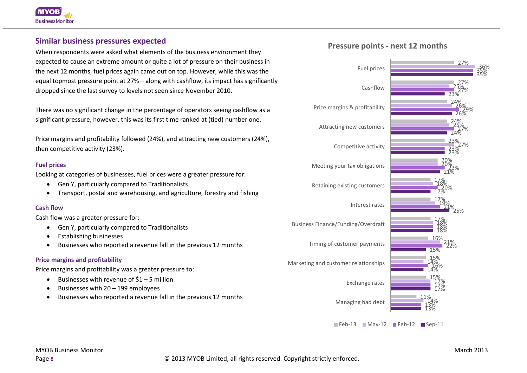### **Similar business pressures expected**

When respondents were asked what elements of the business environment they expected to cause an extreme amount or quite a lot of pressure on their business in the next 12 months, fuel prices again came out on top. However, while this was the equal topmost pressure point at 27% – along with cashflow, its impact has significantly dropped since the last survey to levels not seen since November 2010.

There was no significant change in the percentage of operators seeing cashflow as a significant pressure, however, this was its first time ranked at (tied) number one.

Price margins and profitability followed (24%), and attracting new customers (24%), then competitive activity (23%).

#### **Fuel prices**

Looking at categories of businesses, fuel prices were a greater pressure for:

- Gen Y, particularly compared to Traditionalists
- Transport, postal and warehousing, and agriculture, forestry and fishing

#### **Cash flow**

Cash flow was a greater pressure for:

- Gen Y, particularly compared to Traditionalists
- Establishing businesses
- Businesses who reported a revenue fall in the previous 12 months

#### **Price margins and profitability**

Price margins and profitability was a greater pressure to:

- Businesses with revenue of  $$1 5$  million
- Businesses with 20 199 employees
- Businesses who reported a revenue fall in the previous 12 months

### **Pressure points - next 12 months**



 $\blacksquare$  Feb-13  $\blacksquare$  Mav-12  $\blacksquare$  Feb-12  $\blacksquare$  Sep-11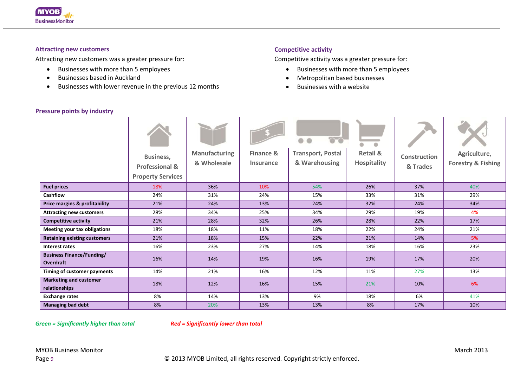

#### **Attracting new customers**

Attracting new customers was a greater pressure for:

- Businesses with more than 5 employees
- Businesses based in Auckland
- Businesses with lower revenue in the previous 12 months

#### **Competitive activity**

Competitive activity was a greater pressure for:

- Businesses with more than 5 employees
- Metropolitan based businesses
- Businesses with a website

|                                                      | Business,<br><b>Professional &amp;</b><br><b>Property Services</b> | <b>Manufacturing</b><br>& Wholesale | <b>Finance &amp;</b><br><b>Insurance</b> | <b>Transport, Postal</b><br>& Warehousing | $\bullet$<br>۰<br><b>Retail &amp;</b><br><b>Hospitality</b> | Construction<br>& Trades | Agriculture,<br><b>Forestry &amp; Fishing</b> |
|------------------------------------------------------|--------------------------------------------------------------------|-------------------------------------|------------------------------------------|-------------------------------------------|-------------------------------------------------------------|--------------------------|-----------------------------------------------|
| <b>Fuel prices</b>                                   | 18%                                                                | 36%                                 | 10%                                      | 54%                                       | 26%                                                         | 37%                      | 40%                                           |
| <b>Cashflow</b>                                      | 24%                                                                | 31%                                 | 24%                                      | 15%                                       | 33%                                                         | 31%                      | 29%                                           |
| Price margins & profitability                        | 21%                                                                | 24%                                 | 13%                                      | 24%                                       | 32%                                                         | 24%                      | 34%                                           |
| <b>Attracting new customers</b>                      | 28%                                                                | 34%                                 | 25%                                      | 34%                                       | 29%                                                         | 19%                      | 4%                                            |
| <b>Competitive activity</b>                          | 21%                                                                | 28%                                 | 32%                                      | 26%                                       | 28%                                                         | 22%                      | 17%                                           |
| <b>Meeting your tax obligations</b>                  | 18%                                                                | 18%                                 | 11%                                      | 18%                                       | 22%                                                         | 24%                      | 21%                                           |
| <b>Retaining existing customers</b>                  | 21%                                                                | 18%                                 | 15%                                      | 22%                                       | 21%                                                         | 14%                      | 5%                                            |
| Interest rates                                       | 16%                                                                | 23%                                 | 27%                                      | 14%                                       | 18%                                                         | 16%                      | 23%                                           |
| <b>Business Finance/Funding/</b><br><b>Overdraft</b> | 16%                                                                | 14%                                 | 19%                                      | 16%                                       | 19%                                                         | 17%                      | 20%                                           |
| Timing of customer payments                          | 14%                                                                | 21%                                 | 16%                                      | 12%                                       | 11%                                                         | 27%                      | 13%                                           |
| <b>Marketing and customer</b><br>relationships       | 18%                                                                | 12%                                 | 16%                                      | 15%                                       | 21%                                                         | 10%                      | 6%                                            |
| <b>Exchange rates</b>                                | 8%                                                                 | 14%                                 | 13%                                      | 9%                                        | 18%                                                         | 6%                       | 41%                                           |
| <b>Managing bad debt</b>                             | 8%                                                                 | 20%                                 | 13%                                      | 13%                                       | 8%                                                          | 17%                      | 10%                                           |

#### **Pressure points by industry**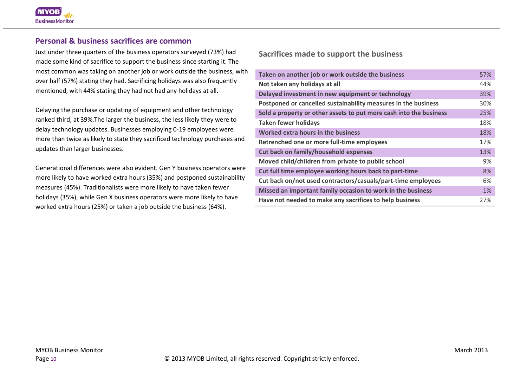#### **Personal & business sacrifices are common**

Just under three quarters of the business operators surveyed (73%) had made some kind of sacrifice to support the business since starting it. The most common was taking on another job or work outside the business, with over half (57%) stating they had. Sacrificing holidays was also frequently mentioned, with 44% stating they had not had any holidays at all.

Delaying the purchase or updating of equipment and other technology ranked third, at 39%.The larger the business, the less likely they were to delay technology updates. Businesses employing 0-19 employees were more than twice as likely to state they sacrificed technology purchases and updates than larger businesses.

Generational differences were also evident. Gen Y business operators were more likely to have worked extra hours (35%) and postponed sustainability measures (45%). Traditionalists were more likely to have taken fewer holidays (35%), while Gen X business operators were more likely to have worked extra hours (25%) or taken a job outside the business (64%).

**Sacrifices made to support the business**

| Taken on another job or work outside the business                  | 57%   |
|--------------------------------------------------------------------|-------|
| Not taken any holidays at all                                      | 44%   |
| Delayed investment in new equipment or technology                  | 39%   |
| Postponed or cancelled sustainability measures in the business     | 30%   |
| Sold a property or other assets to put more cash into the business | 25%   |
| <b>Taken fewer holidays</b>                                        | 18%   |
| Worked extra hours in the business                                 | 18%   |
| Retrenched one or more full-time employees                         | 17%   |
| <b>Cut back on family/household expenses</b>                       | 13%   |
| Moved child/children from private to public school                 | 9%    |
| Cut full time employee working hours back to part-time             | 8%    |
| Cut back on/not used contractors/casuals/part-time employees       | 6%    |
| Missed an important family occasion to work in the business        | $1\%$ |
| Have not needed to make any sacrifices to help business            | 27%   |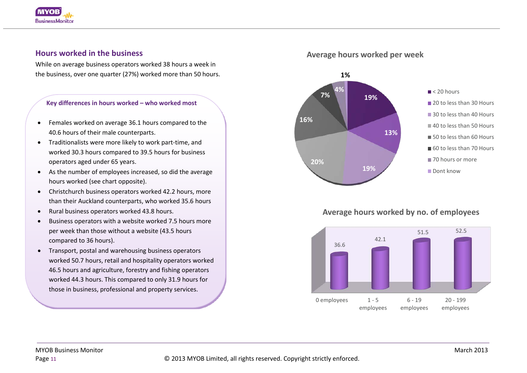

## **Hours worked in the business**

While on average business operators worked 38 hours a week in the business, over one quarter (27%) worked more than 50 hours.

#### **Key differences in hours worked – who worked most**

- Females worked on average 36.1 hours compared to the 40.6 hours of their male counterparts.
- Traditionalists were more likely to work part-time, and worked 30.3 hours compared to 39.5 hours for business operators aged under 65 years.
- As the number of employees increased, so did the average hours worked (see chart opposite).
- Christchurch business operators worked 42.2 hours, more than their Auckland counterparts, who worked 35.6 hours
- Rural business operators worked 43.8 hours.
- Business operators with a website worked 7.5 hours more per week than those without a website (43.5 hours compared to 36 hours).
- Transport, postal and warehousing business operators worked 50.7 hours, retail and hospitality operators worked 46.5 hours and agriculture, forestry and fishing operators worked 44.3 hours. This compared to only 31.9 hours for those in business, professional and property services.

#### **Average hours worked per week**



# **Average hours worked by no. of employees**

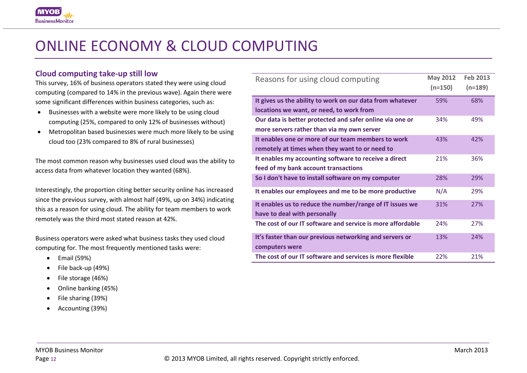

# ONLINE ECONOMY & CLOUD COMPUTING

#### **Cloud computing take-up still low**

This survey, 16% of business operators stated they were using cloud computing (compared to 14% in the previous wave). Again there were some significant differences within business categories, such as:

- Businesses with a website were more likely to be using cloud computing (25%, compared to only 12% of businesses without)
- Metropolitan based businesses were much more likely to be using cloud too (23% compared to 8% of rural businesses)

The most common reason why businesses used cloud was the ability to access data from whatever location they wanted (68%).

Interestingly, the proportion citing better security online has increased since the previous survey, with almost half (49%, up on 34%) indicating this as a reason for using cloud. The ability for team members to work remotely was the third most stated reason at 42%.

Business operators were asked what business tasks they used cloud computing for. The most frequently mentioned tasks were:

- Email (59%)
- File back-up (49%)
- File storage (46%)
- Online banking (45%)
- File sharing (39%)
- Accounting (39%)

| Reasons for using cloud computing                                                        | <b>May 2012</b><br>$(n=150)$ | <b>Feb 2013</b><br>$(n=189)$ |
|------------------------------------------------------------------------------------------|------------------------------|------------------------------|
| It gives us the ability to work on our data from whatever                                | 59%                          | 68%                          |
| locations we want, or need, to work from                                                 |                              |                              |
| Our data is better protected and safer online via one or                                 | 34%                          | 49%                          |
| more servers rather than via my own server                                               |                              |                              |
| It enables one or more of our team members to work                                       | 43%                          | 42%                          |
| remotely at times when they want to or need to                                           |                              |                              |
| It enables my accounting software to receive a direct                                    | 21%                          | 36%                          |
| feed of my bank account transactions                                                     |                              |                              |
| So I don't have to install software on my computer                                       | 28%                          | 29%                          |
| It enables our employees and me to be more productive                                    | N/A                          | 29%                          |
| It enables us to reduce the number/range of IT issues we<br>have to deal with personally | 31%                          | 27%                          |
| The cost of our IT software and service is more affordable                               | 24%                          | 27%                          |
| It's faster than our previous networking and servers or<br>computers were                | 13%                          | 24%                          |
| The cost of our IT software and services is more flexible                                | 22%                          | 21%                          |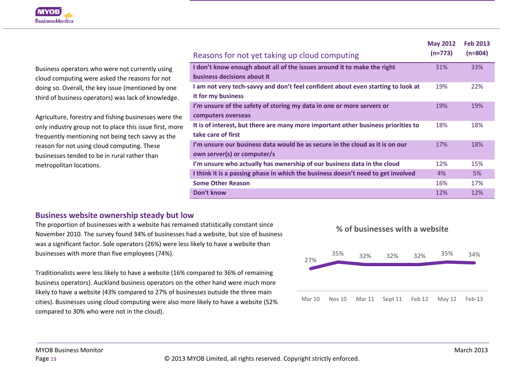

Business operators who were not currently using cloud computing were asked the reasons for not doing so. Overall, the key issue (mentioned by one third of business operators) was lack of knowledge.

Agriculture, forestry and fishing businesses were the only industry group not to place this issue first, more frequently mentioning not being tech savvy as the reason for not using cloud computing. These businesses tended to be in rural rather than metropolitan locations.

|                                                                                   | <b>May 2012</b> | <b>Feb 2013</b> |
|-----------------------------------------------------------------------------------|-----------------|-----------------|
| Reasons for not yet taking up cloud computing                                     | $(n=773)$       | $(n=804)$       |
| I don't know enough about all of the issues around it to make the right           | 31%             | 33%             |
| business decisions about it                                                       |                 |                 |
| I am not very tech-savvy and don't feel confident about even starting to look at  | 19%             | 22%             |
| it for my business                                                                |                 |                 |
| I'm unsure of the safety of storing my data in one or more servers or             | 19%             | 19%             |
| computers overseas                                                                |                 |                 |
| It is of interest, but there are many more important other business priorities to | 18%             | 18%             |
| take care of first                                                                |                 |                 |
| I'm unsure our business data would be as secure in the cloud as it is on our      | 17%             | 18%             |
| own server(s) or computer/s                                                       |                 |                 |
| I'm unsure who actually has ownership of our business data in the cloud           | 12%             | 15%             |
| I think it is a passing phase in which the business doesn't need to get involved  | 4%              | 5%              |
| <b>Some Other Reason</b>                                                          | 16%             | 17%             |
| Don't know                                                                        | 12%             | 12%             |

#### **Business website ownership steady but low**

The proportion of businesses with a website has remained statistically constant since November 2010. The survey found 34% of businesses had a website, but size of business was a significant factor. Sole operators (26%) were less likely to have a website than businesses with more than five employees (74%).

Traditionalists were less likely to have a website (16% compared to 36% of remaining business operators). Auckland business operators on the other hand were much more likely to have a website (43% compared to 27% of businesses outside the three main cities). Businesses using cloud computing were also more likely to have a website (52% compared to 30% who were not in the cloud).

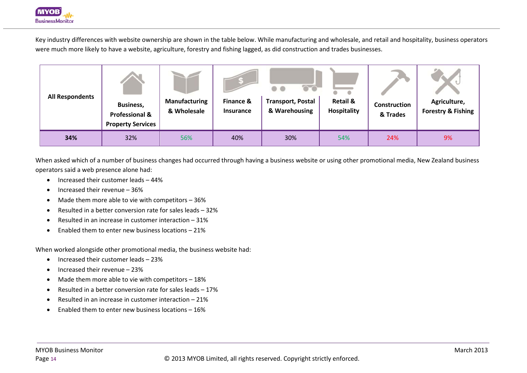

Key industry differences with website ownership are shown in the table below. While manufacturing and wholesale, and retail and hospitality, business operators were much more likely to have a website, agriculture, forestry and fishing lagged, as did construction and trades businesses.

| <b>All Respondents</b> | <b>Business,</b><br><b>Professional &amp;</b><br><b>Property Services</b> | <b>Manufacturing</b><br>& Wholesale | Finance &<br><b>Insurance</b> | $\overline{\circ}$<br><b>Transport, Postal</b><br>& Warehousing | <b>Retail &amp;</b><br>Hospitality | Construction<br>& Trades | Agriculture,<br><b>Forestry &amp; Fishing</b> |
|------------------------|---------------------------------------------------------------------------|-------------------------------------|-------------------------------|-----------------------------------------------------------------|------------------------------------|--------------------------|-----------------------------------------------|
| 34%                    | 32%                                                                       | 56%                                 | 40%                           | 30%                                                             | 54%                                | 24%                      | 9%                                            |

When asked which of a number of business changes had occurred through having a business website or using other promotional media, New Zealand business operators said a web presence alone had:

- Increased their customer leads 44%
- Increased their revenue 36%
- Made them more able to vie with competitors 36%
- Resulted in a better conversion rate for sales leads 32%
- Resulted in an increase in customer interaction 31%
- Enabled them to enter new business locations 21%

When worked alongside other promotional media, the business website had:

- Increased their customer leads 23%
- Increased their revenue 23%
- Made them more able to vie with competitors 18%
- Resulted in a better conversion rate for sales leads 17%
- Resulted in an increase in customer interaction 21%
- Enabled them to enter new business locations 16%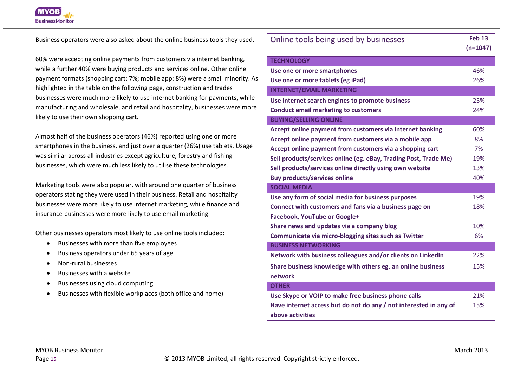

Business operators were also asked about the online business tools they used.

60% were accepting online payments from customers via internet banking, while a further 40% were buying products and services online. Other online payment formats (shopping cart: 7%; mobile app: 8%) were a small minority. As highlighted in the table on the following page, construction and trades businesses were much more likely to use internet banking for payments, while manufacturing and wholesale, and retail and hospitality, businesses were more likely to use their own shopping cart.

Almost half of the business operators (46%) reported using one or more smartphones in the business, and just over a quarter (26%) use tablets. Usage was similar across all industries except agriculture, forestry and fishing businesses, which were much less likely to utilise these technologies.

Marketing tools were also popular, with around one quarter of business operators stating they were used in their business. Retail and hospitality businesses were more likely to use internet marketing, while finance and insurance businesses were more likely to use email marketing.

Other businesses operators most likely to use online tools included:

- Businesses with more than five employees
- Business operators under 65 years of age
- Non-rural businesses
- Businesses with a website
- Businesses using cloud computing
- Businesses with flexible workplaces (both office and home)

| Online tools being used by businesses                             | <b>Feb 13</b> |
|-------------------------------------------------------------------|---------------|
|                                                                   | $(n=1047)$    |
| <b>TECHNOLOGY</b>                                                 |               |
| Use one or more smartphones                                       | 46%           |
| Use one or more tablets (eg iPad)                                 | 26%           |
| <b>INTERNET/EMAIL MARKETING</b>                                   |               |
| Use internet search engines to promote business                   | 25%           |
| <b>Conduct email marketing to customers</b>                       | 24%           |
| <b>BUYING/SELLING ONLINE</b>                                      |               |
| Accept online payment from customers via internet banking         | 60%           |
| Accept online payment from customers via a mobile app             | 8%            |
| Accept online payment from customers via a shopping cart          | 7%            |
| Sell products/services online (eg. eBay, Trading Post, Trade Me)  | 19%           |
| Sell products/services online directly using own website          | 13%           |
| <b>Buy products/services online</b>                               | 40%           |
| <b>SOCIAL MEDIA</b>                                               |               |
| Use any form of social media for business purposes                | 19%           |
| Connect with customers and fans via a business page on            | 18%           |
| <b>Facebook, YouTube or Google+</b>                               |               |
| Share news and updates via a company blog                         | 10%           |
| Communicate via micro-blogging sites such as Twitter              | 6%            |
| <b>BUSINESS NETWORKING</b>                                        |               |
| Network with business colleagues and/or clients on LinkedIn       | 22%           |
| Share business knowledge with others eg. an online business       | 15%           |
| network                                                           |               |
| <b>OTHER</b>                                                      |               |
| Use Skype or VOIP to make free business phone calls               | 21%           |
| Have internet access but do not do any / not interested in any of | 15%           |
| above activities                                                  |               |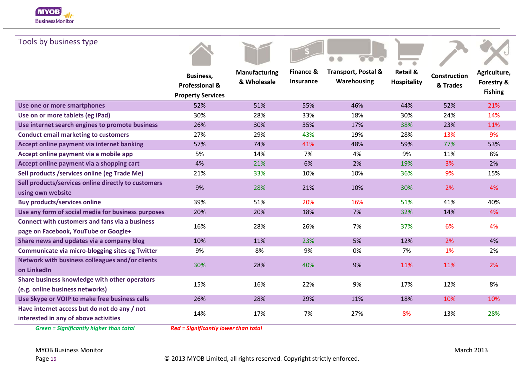

| Tools by business type                                                                        |                                                                           |                                     |                        |                                               |                                           |                                 |                                              |
|-----------------------------------------------------------------------------------------------|---------------------------------------------------------------------------|-------------------------------------|------------------------|-----------------------------------------------|-------------------------------------------|---------------------------------|----------------------------------------------|
|                                                                                               | <b>Business,</b><br><b>Professional &amp;</b><br><b>Property Services</b> | <b>Manufacturing</b><br>& Wholesale | Finance &<br>Insurance | <b>Transport, Postal &amp;</b><br>Warehousing | <b>Retail &amp;</b><br><b>Hospitality</b> | <b>Construction</b><br>& Trades | Agriculture,<br>Forestry &<br><b>Fishing</b> |
| Use one or more smartphones                                                                   | 52%                                                                       | 51%                                 | 55%                    | 46%                                           | 44%                                       | 52%                             | 21%                                          |
| Use on or more tablets (eg iPad)                                                              | 30%                                                                       | 28%                                 | 33%                    | 18%                                           | 30%                                       | 24%                             | 14%                                          |
| Use internet search engines to promote business                                               | 26%                                                                       | 30%                                 | 35%                    | 17%                                           | 38%                                       | 23%                             | 11%                                          |
| <b>Conduct email marketing to customers</b>                                                   | 27%                                                                       | 29%                                 | 43%                    | 19%                                           | 28%                                       | 13%                             | 9%                                           |
| Accept online payment via internet banking                                                    | 57%                                                                       | 74%                                 | 41%                    | 48%                                           | 59%                                       | 77%                             | 53%                                          |
| Accept online payment via a mobile app                                                        | 5%                                                                        | 14%                                 | 7%                     | 4%                                            | 9%                                        | 11%                             | 8%                                           |
| Accept online payment via a shopping cart                                                     | 4%                                                                        | 21%                                 | 6%                     | 2%                                            | 19%                                       | 3%                              | 2%                                           |
| Sell products /services online (eg Trade Me)                                                  | 21%                                                                       | 33%                                 | 10%                    | 10%                                           | 36%                                       | 9%                              | 15%                                          |
| Sell products/services online directly to customers<br>using own website                      | 9%                                                                        | 28%                                 | 21%                    | 10%                                           | 30%                                       | 2%                              | 4%                                           |
| <b>Buy products/services online</b>                                                           | 39%                                                                       | 51%                                 | 20%                    | 16%                                           | 51%                                       | 41%                             | 40%                                          |
| Use any form of social media for business purposes                                            | 20%                                                                       | 20%                                 | 18%                    | 7%                                            | 32%                                       | 14%                             | 4%                                           |
| <b>Connect with customers and fans via a business</b><br>page on Facebook, YouTube or Google+ | 16%                                                                       | 28%                                 | 26%                    | 7%                                            | 37%                                       | 6%                              | 4%                                           |
| Share news and updates via a company blog                                                     | 10%                                                                       | 11%                                 | 23%                    | 5%                                            | 12%                                       | 2%                              | 4%                                           |
| Communicate via micro-blogging sites eg Twitter                                               | 9%                                                                        | 8%                                  | 9%                     | 0%                                            | 7%                                        | 1%                              | 2%                                           |
| Network with business colleagues and/or clients<br>on LinkedIn                                | 30%                                                                       | 28%                                 | 40%                    | 9%                                            | 11%                                       | 11%                             | 2%                                           |
| Share business knowledge with other operators<br>(e.g. online business networks)              | 15%                                                                       | 16%                                 | 22%                    | 9%                                            | 17%                                       | 12%                             | 8%                                           |
| Use Skype or VOIP to make free business calls                                                 | 26%                                                                       | 28%                                 | 29%                    | 11%                                           | 18%                                       | 10%                             | 10%                                          |
| Have internet access but do not do any / not<br>interested in any of above activities         | 14%                                                                       | 17%                                 | 7%                     | 27%                                           | 8%                                        | 13%                             | 28%                                          |
| <b>Green = Significantly higher than total</b>                                                | <b>Red = Significantly lower than total</b>                               |                                     |                        |                                               |                                           |                                 |                                              |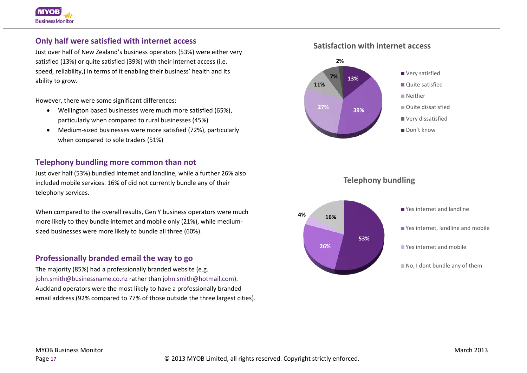# **Only half were satisfied with internet access**

Just over half of New Zealand's business operators (53%) were either very satisfied (13%) or quite satisfied (39%) with their internet access (i.e. speed, reliability,) in terms of it enabling their business' health and its ability to grow.

However, there were some significant differences:

- Wellington based businesses were much more satisfied (65%), particularly when compared to rural businesses (45%)
- Medium-sized businesses were more satisfied (72%), particularly when compared to sole traders (51%)

# **Telephony bundling more common than not**

Just over half (53%) bundled internet and landline, while a further 26% also included mobile services. 16% of did not currently bundle any of their telephony services.

When compared to the overall results, Gen Y business operators were much more likely to they bundle internet and mobile only (21%), while mediumsized businesses were more likely to bundle all three (60%).

# **Professionally branded email the way to go**

The majority (85%) had a professionally branded website (e.g. [john.smith@businessname.co.nz](mailto:john.smith@businessname.co.nz) rather than [john.smith@hotmail.com\)](mailto:john.smith@hotmail.com). Auckland operators were the most likely to have a professionally branded email address (92% compared to 77% of those outside the three largest cities).





**Telephony bundling**

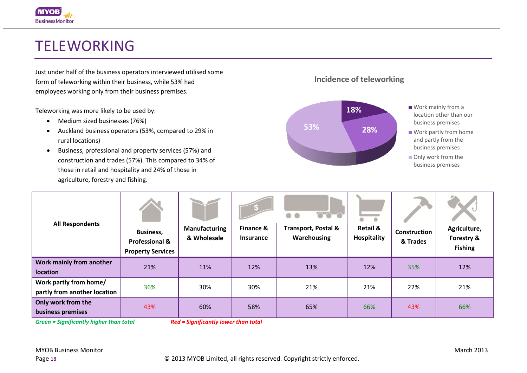# TELEWORKING

Just under half of the business operators interviewed utilised some form of teleworking within their business, while 53% had employees working only from their business premises.

Teleworking was more likely to be used by:

- Medium sized businesses (76%)
- Auckland business operators (53%, compared to 29% in rural locations)
- Business, professional and property services (57%) and construction and trades (57%). This compared to 34% of those in retail and hospitality and 24% of those in agriculture, forestry and fishing.



**Incidence of teleworking**

| <b>All Respondents</b>                                 | <b>Business,</b><br><b>Professional &amp;</b><br><b>Property Services</b> | <b>Manufacturing</b><br>& Wholesale         | Finance &<br><b>Insurance</b> | $\overline{\bullet}\bullet\bullet$<br>Ð<br><b>Transport, Postal &amp;</b><br>Warehousing | $\bullet$<br>$\bullet$<br><b>Retail &amp;</b><br>Hospitality | Construction<br>& Trades | Agriculture,<br>Forestry &<br><b>Fishing</b> |
|--------------------------------------------------------|---------------------------------------------------------------------------|---------------------------------------------|-------------------------------|------------------------------------------------------------------------------------------|--------------------------------------------------------------|--------------------------|----------------------------------------------|
| Work mainly from another<br><b>location</b>            | 21%                                                                       | 11%                                         | 12%                           | 13%                                                                                      | 12%                                                          | 35%                      | 12%                                          |
| Work partly from home/<br>partly from another location | 36%                                                                       | 30%                                         | 30%                           | 21%                                                                                      | 21%                                                          | 22%                      | 21%                                          |
| Only work from the<br>business premises                | 43%                                                                       | 60%                                         | 58%                           | 65%                                                                                      | 66%                                                          | 43%                      | 66%                                          |
| <b>Green = Significantly higher than total</b>         |                                                                           | <b>Red = Significantly lower than total</b> |                               |                                                                                          |                                                              |                          |                                              |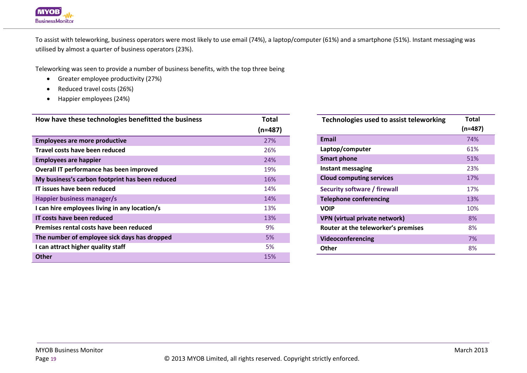

To assist with teleworking, business operators were most likely to use email (74%), a laptop/computer (61%) and a smartphone (51%). Instant messaging was utilised by almost a quarter of business operators (23%).

Teleworking was seen to provide a number of business benefits, with the top three being

- Greater employee productivity (27%)
- Reduced travel costs (26%)
- Happier employees (24%)

| How have these technologies benefitted the business | Total     |
|-----------------------------------------------------|-----------|
|                                                     | $(n=487)$ |
| <b>Employees are more productive</b>                | 27%       |
| Travel costs have been reduced                      | 26%       |
| <b>Employees are happier</b>                        | 24%       |
| Overall IT performance has been improved            | 19%       |
| My business's carbon footprint has been reduced     | 16%       |
| IT issues have been reduced                         | 14%       |
| Happier business manager/s                          | 14%       |
| I can hire employees living in any location/s       | 13%       |
| IT costs have been reduced                          | 13%       |
| Premises rental costs have been reduced             | 9%        |
| The number of employee sick days has dropped        | 5%        |
| I can attract higher quality staff                  | 5%        |
| <b>Other</b>                                        | 15%       |

| Technologies used to assist teleworking | Total<br>$(n=487)$ |
|-----------------------------------------|--------------------|
| <b>Email</b>                            | 74%                |
| Laptop/computer                         | 61%                |
| <b>Smart phone</b>                      | 51%                |
| Instant messaging                       | 23%                |
| <b>Cloud computing services</b>         | 17%                |
| Security software / firewall            | 17%                |
| <b>Telephone conferencing</b>           | 13%                |
| <b>VOIP</b>                             | 10%                |
| <b>VPN (virtual private network)</b>    | 8%                 |
| Router at the teleworker's premises     | 8%                 |
| Videoconferencing                       | 7%                 |
| Other                                   | 8%                 |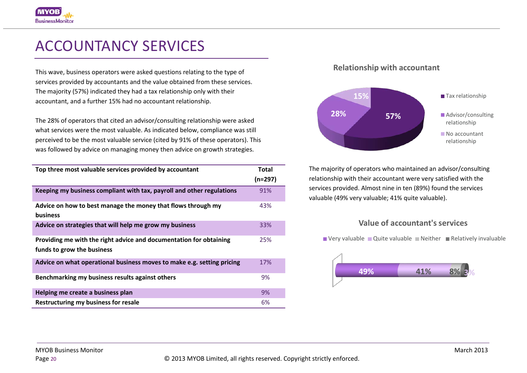# ACCOUNTANCY SERVICES

This wave, business operators were asked questions relating to the type of services provided by accountants and the value obtained from these services. The majority (57%) indicated they had a tax relationship only with their accountant, and a further 15% had no accountant relationship.

The 28% of operators that cited an advisor/consulting relationship were asked what services were the most valuable. As indicated below, compliance was still perceived to be the most valuable service (cited by 91% of these operators). This was followed by advice on managing money then advice on growth strategies.

| Top three most valuable services provided by accountant                | Total<br>$(n=297)$ |
|------------------------------------------------------------------------|--------------------|
| Keeping my business compliant with tax, payroll and other regulations  | 91%                |
|                                                                        |                    |
| Advice on how to best manage the money that flows through my           | 43%                |
| <b>business</b>                                                        |                    |
| Advice on strategies that will help me grow my business                | 33%                |
| Providing me with the right advice and documentation for obtaining     | 25%                |
| funds to grow the business                                             |                    |
| Advice on what operational business moves to make e.g. setting pricing | 17%                |
| Benchmarking my business results against others                        | 9%                 |
| Helping me create a business plan                                      | 9%                 |
| Restructuring my business for resale                                   | 6%                 |

## **Relationship with accountant**



The majority of operators who maintained an advisor/consulting relationship with their accountant were very satisfied with the services provided. Almost nine in ten (89%) found the services valuable (49% very valuable; 41% quite valuable).

# **Value of accountant's services**

 $\blacksquare$  Very valuable  $\blacksquare$  Quite valuable  $\blacksquare$  Neither  $\blacksquare$  Relatively invaluable

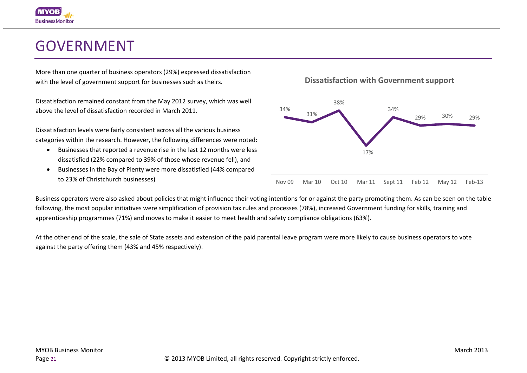# GOVERNMENT

More than one quarter of business operators (29%) expressed dissatisfaction with the level of government support for businesses such as theirs.

Dissatisfaction remained constant from the May 2012 survey, which was well above the level of dissatisfaction recorded in March 2011.

Dissatisfaction levels were fairly consistent across all the various business categories within the research. However, the following differences were noted:

- Businesses that reported a revenue rise in the last 12 months were less dissatisfied (22% compared to 39% of those whose revenue fell), and
- Businesses in the Bay of Plenty were more dissatisfied (44% compared to 23% of Christchurch businesses)

**Dissatisfaction with Government support**



Business operators were also asked about policies that might influence their voting intentions for or against the party promoting them. As can be seen on the table following, the most popular initiatives were simplification of provision tax rules and processes (78%), increased Government funding for skills, training and apprenticeship programmes (71%) and moves to make it easier to meet health and safety compliance obligations (63%).

At the other end of the scale, the sale of State assets and extension of the paid parental leave program were more likely to cause business operators to vote against the party offering them (43% and 45% respectively).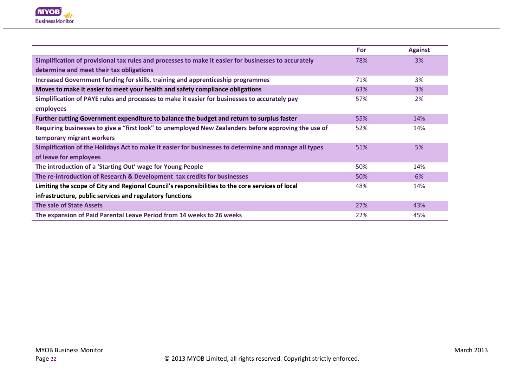

|                                                                                                       | <b>For</b> | <b>Against</b> |
|-------------------------------------------------------------------------------------------------------|------------|----------------|
| Simplification of provisional tax rules and processes to make it easier for businesses to accurately  | 78%        | 3%             |
| determine and meet their tax obligations                                                              |            |                |
| Increased Government funding for skills, training and apprenticeship programmes                       | 71%        | 3%             |
| Moves to make it easier to meet your health and safety compliance obligations                         | 63%        | 3%             |
| Simplification of PAYE rules and processes to make it easier for businesses to accurately pay         | 57%        | 2%             |
| employees                                                                                             |            |                |
| Further cutting Government expenditure to balance the budget and return to surplus faster             | 55%        | 14%            |
| Requiring businesses to give a "first look" to unemployed New Zealanders before approving the use of  | 52%        | 14%            |
| temporary migrant workers                                                                             |            |                |
| Simplification of the Holidays Act to make it easier for businesses to determine and manage all types | 51%        | 5%             |
| of leave for employees                                                                                |            |                |
| The introduction of a 'Starting Out' wage for Young People                                            | 50%        | 14%            |
| The re-introduction of Research & Development tax credits for businesses                              | 50%        | 6%             |
| Limiting the scope of City and Regional Council's responsibilities to the core services of local      | 48%        | 14%            |
| infrastructure, public services and regulatory functions                                              |            |                |
| The sale of State Assets                                                                              | 27%        | 43%            |
| The expansion of Paid Parental Leave Period from 14 weeks to 26 weeks                                 | 22%        | 45%            |